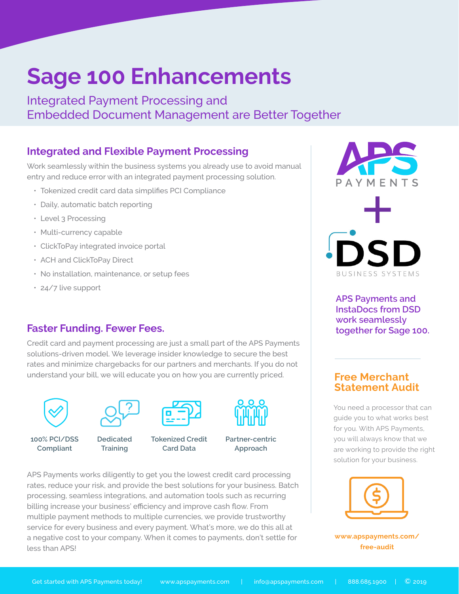# **Sage 100 Enhancements**

Integrated Payment Processing and Embedded Document Management are Better Together

## **Integrated and Flexible Payment Processing**

Work seamlessly within the business systems you already use to avoid manual entry and reduce error with an integrated payment processing solution.

- Tokenized credit card data simplifies PCI Compliance
- Daily, automatic batch reporting
- Level 3 Processing
- Multi-currency capable
- ClickToPay integrated invoice portal
- ACH and ClickToPay Direct
- No installation, maintenance, or setup fees
- 24/7 live support

### **Faster Funding. Fewer Fees.**

Credit card and payment processing are just a small part of the APS Payments solutions-driven model. We leverage insider knowledge to secure the best rates and minimize chargebacks for our partners and merchants. If you do not understand your bill, we will educate you on how you are currently priced.





**100% PCI/DSS Compliant Dedicated Training**

**Tokenized Credit** 



**Card Data**



**Partner-centric Approach**

APS Payments works diligently to get you the lowest credit card processing rates, reduce your risk, and provide the best solutions for your business. Batch processing, seamless integrations, and automation tools such as recurring billing increase your business' efficiency and improve cash flow. From multiple payment methods to multiple currencies, we provide trustworthy service for every business and every payment. What's more, we do this all at a negative cost to your company. When it comes to payments, don't settle for less than APS!



BUSINESS SYSTEMS

**APS Payments and InstaDocs from DSD work seamlessly together for Sage 100.** 

### **Free Merchant Statement Audit**

You need a processor that can guide you to what works best for you. With APS Payments, you will always know that we are working to provide the right solution for your business.



**[www.apspayments.com/](http://www.apspayments.com/free-audit) [free-audit](http://www.apspayments.com/free-audit)**